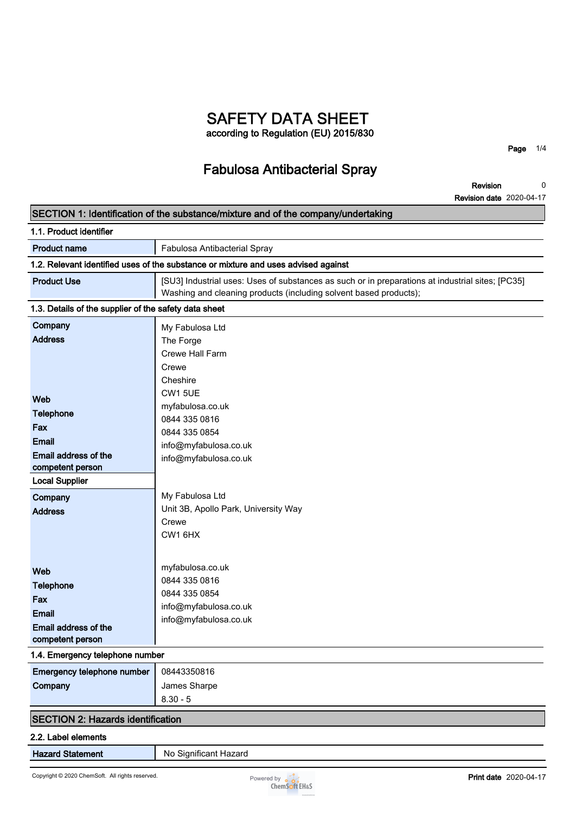### **SAFETY DATA SHEET according to Regulation (EU) 2015/830**

**Fabulosa Antibacterial Spray**

**Page 1/4**

**0**

#### **Revision Revision date 2020-04-17 SECTION 1: Identification of the substance/mixture and of the company/undertaking 1.1. Product identifier Product name Fabulosa Antibacterial Spray 1.2. Relevant identified uses of the substance or mixture and uses advised against Product Use [SU3] Industrial uses: Uses of substances as such or in preparations at industrial sites; [PC35] Washing and cleaning products (including solvent based products); 1.3. Details of the supplier of the safety data sheet Company Address Web Telephone Fax Email Email address of the competent person Local Supplier Company Address Web Telephone Fax Email Email address of the competent person** My Fabulosa Ltd The Forge Crewe Hall Farm Crewe **Cheshire** CW1 5UE myfabulosa.co.uk 0844 335 0816 0844 335 0854 info@myfabulosa.co.uk info@myfabulosa.co.uk My Fabulosa Ltd Unit 3B, Apollo Park, University Way Crewe CW1 6HX myfabulosa.co.uk 0844 335 0816 0844 335 0854 info@myfabulosa.co.uk info@myfabulosa.co.uk **1.4. Emergency telephone number Emergency telephone number 08443350816 Company James Sharpe 8.30 - 5 SECTION 2: Hazards identification**

### **2.2. Label elements**

**Hazard Statement** No Significant Hazard

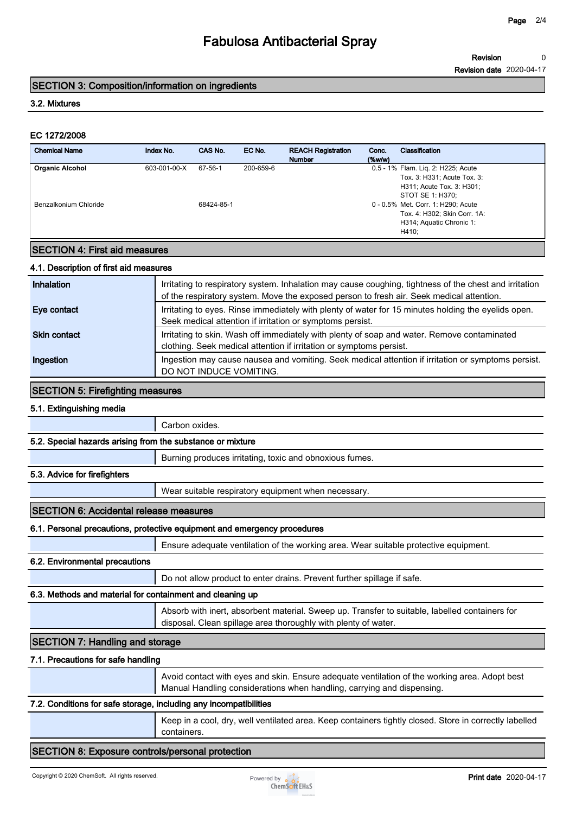#### **Revision 0**

**Revision date 2020-04-17**

### **SECTION 3: Composition/information on ingredients**

### **3.2. Mixtures**

### **EC 1272/2008**

|              |                             |           |                                                          |                    | Revision                                                                                                                                          |                                                                          |
|--------------|-----------------------------|-----------|----------------------------------------------------------|--------------------|---------------------------------------------------------------------------------------------------------------------------------------------------|--------------------------------------------------------------------------|
|              |                             |           |                                                          |                    | <b>Revision date 2020-04-17</b>                                                                                                                   |                                                                          |
|              |                             |           |                                                          |                    |                                                                                                                                                   |                                                                          |
|              |                             |           |                                                          |                    |                                                                                                                                                   |                                                                          |
|              |                             |           |                                                          |                    |                                                                                                                                                   |                                                                          |
|              |                             |           |                                                          |                    |                                                                                                                                                   |                                                                          |
| Index No.    | CAS No.                     | EC No.    | <b>REACH Registration</b><br><b>Number</b>               | Conc.<br>$(\%w/w)$ | <b>Classification</b>                                                                                                                             |                                                                          |
| 603-001-00-X | $67 - 56 - 1$<br>68424-85-1 | 200-659-6 |                                                          |                    | Tox. 3: H331; Acute Tox. 3:<br>H311; Acute Tox. 3: H301;<br>STOT SE 1: H370;<br>Tox. 4: H302; Skin Corr. 1A:<br>H314; Aquatic Chronic 1:<br>H410; |                                                                          |
|              |                             |           | <b>SECTION 3: Composition/information on ingredients</b> |                    |                                                                                                                                                   | 0.5 - 1% Flam. Lig. 2: H225; Acute<br>0 - 0.5% Met. Corr. 1: H290; Acute |

### **SECTION 4: First aid measures**

### **4.1. Description of first aid measures**

| Inhalation          | Irritating to respiratory system. Inhalation may cause coughing, tightness of the chest and irritation<br>of the respiratory system. Move the exposed person to fresh air. Seek medical attention. |
|---------------------|----------------------------------------------------------------------------------------------------------------------------------------------------------------------------------------------------|
| Eye contact         | Irritating to eyes. Rinse immediately with plenty of water for 15 minutes holding the eyelids open.<br>Seek medical attention if irritation or symptoms persist.                                   |
| <b>Skin contact</b> | Irritating to skin. Wash off immediately with plenty of soap and water. Remove contaminated<br>clothing. Seek medical attention if irritation or symptoms persist.                                 |
| Ingestion           | Ingestion may cause nausea and vomiting. Seek medical attention if irritation or symptoms persist.<br>DO NOT INDUCE VOMITING.                                                                      |

### **SECTION 5: Firefighting measures**

#### **5.1. Extinguishing media**

|                                                            | Carbon oxides.                                          |
|------------------------------------------------------------|---------------------------------------------------------|
| 5.2. Special hazards arising from the substance or mixture |                                                         |
|                                                            | Burning produces irritating, toxic and obnoxious fumes. |
| 5.3. Advice for firefighters                               |                                                         |
|                                                            | Wear suitable respiratory equipment when necessary.     |

### **SECTION 6: Accidental release measures**

### **6.1. Personal precautions, protective equipment and emergency procedures**

**Ensure adequate ventilation of the working area. Wear suitable protective equipment.**

### **6.2. Environmental precautions**

**Do not allow product to enter drains. Prevent further spillage if safe.**

### **6.3. Methods and material for containment and cleaning up**

**Absorb with inert, absorbent material. Sweep up. Transfer to suitable, labelled containers for disposal. Clean spillage area thoroughly with plenty of water.**

### **SECTION 7: Handling and storage**

### **7.1. Precautions for safe handling**

**Avoid contact with eyes and skin. Ensure adequate ventilation of the working area. Adopt best Manual Handling considerations when handling, carrying and dispensing.**

### **7.2. Conditions for safe storage, including any incompatibilities**

**Keep in a cool, dry, well ventilated area. Keep containers tightly closed. Store in correctly labelled containers.**

### **SECTION 8: Exposure controls/personal protection**

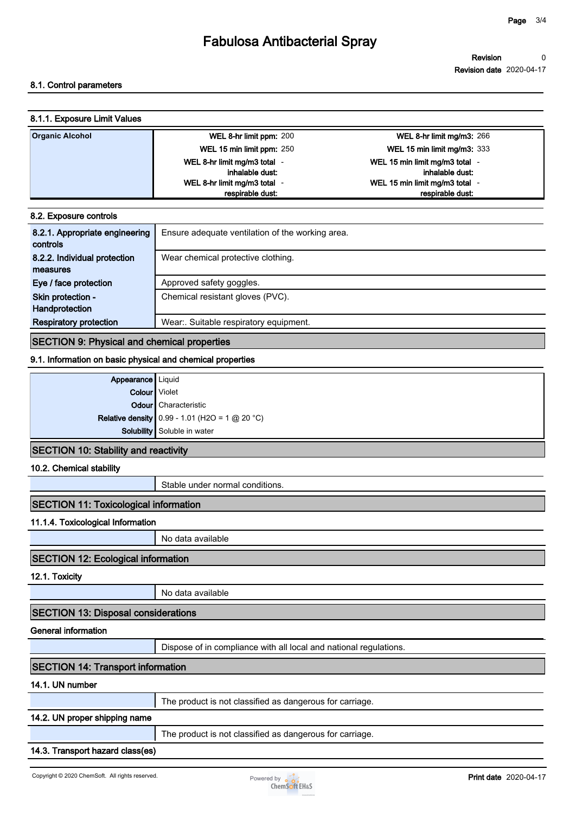## **Fabulosa Antibacterial Spray**

### **8.1. Control parameters**

| 8.1.1. Exposure Limit Values |                            |                                  |
|------------------------------|----------------------------|----------------------------------|
| <b>Organic Alcohol</b>       | WEL 8-hr limit ppm: 200    | <b>WEL 8-hr limit mg/m3: 266</b> |
|                              | WEL 15 min limit ppm: 250  | WEL 15 min limit mg/m3: 333      |
|                              | WEL 8-hr limit mg/m3 total | WEL 15 min limit mg/m3 total     |
|                              | inhalable dust:            | inhalable dust:                  |
|                              | WEL 8-hr limit mg/m3 total | WEL 15 min limit mg/m3 total     |
|                              | respirable dust:           | respirable dust:                 |

|  | 8.2. Exposure controls |  |  |  |
|--|------------------------|--|--|--|
|--|------------------------|--|--|--|

| 8.2.1. Appropriate engineering<br>controls | Ensure adequate ventilation of the working area. |
|--------------------------------------------|--------------------------------------------------|
| 8.2.2. Individual protection               | Wear chemical protective clothing.               |
| measures                                   |                                                  |
| Eye / face protection                      | Approved safety goggles.                         |
| Skin protection -                          | Chemical resistant gloves (PVC).                 |
| Handprotection                             |                                                  |
| <b>Respiratory protection</b>              | Wear: Suitable respiratory equipment.            |

### **SECTION 9: Physical and chemical properties**

### **9.1. Information on basic physical and chemical properties**

| Appearance   Liquid                  |                                                       |
|--------------------------------------|-------------------------------------------------------|
| Colour Violet                        |                                                       |
|                                      | Odour Characteristic                                  |
|                                      | <b>Relative density</b> 0.99 - 1.01 (H2O = 1 @ 20 °C) |
|                                      | Solubility Soluble in water                           |
| SECTION 10: Stability and reactivity |                                                       |

### **SECTION 10: Stability and reactivity**

### **10.2. Chemical stability**

**Stable under normal conditions.**

### **SECTION 11: Toxicological information**

### **11.1.4. Toxicological Information**

**No data available**

### **SECTION 12: Ecological information**

**12.1. Toxicity**

**No data available**

### **SECTION 13: Disposal considerations**

#### **General information**

**Dispose of in compliance with all local and national regulations.**

### **SECTION 14: Transport information**

### **14.1. UN number**

|--|

### **14.2. UN proper shipping name**

**The product is not classified as dangerous for carriage.**

### **14.3. Transport hazard class(es)**